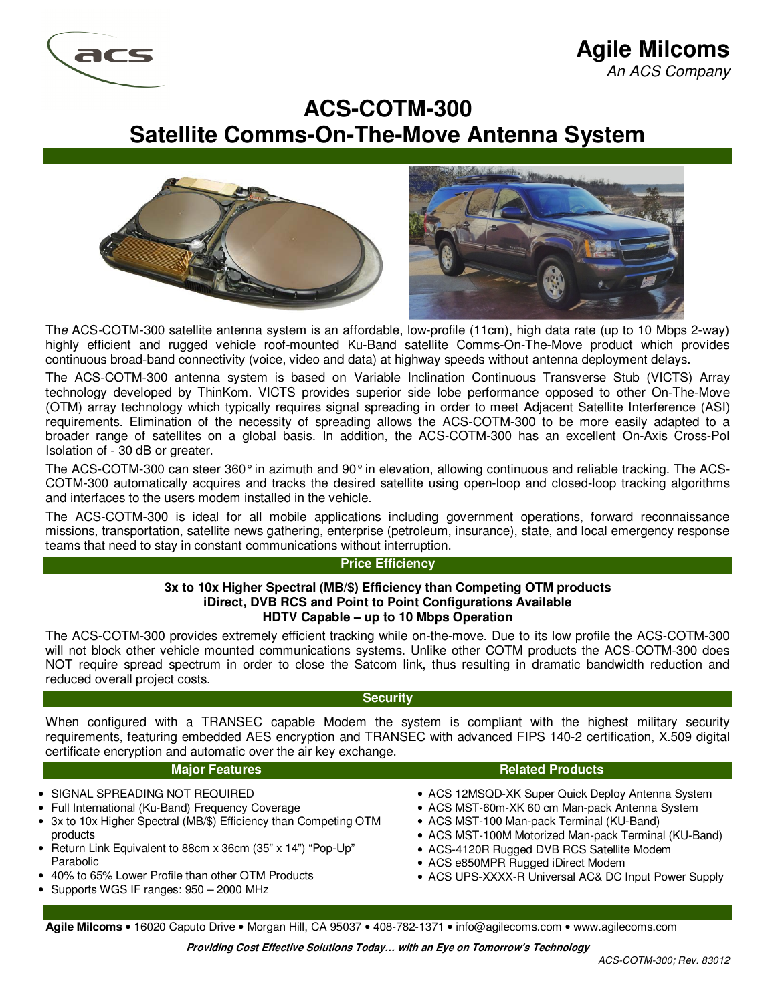

## **Agile Milcoms** An ACS Company

**ACS-COTM-300 Satellite Comms-On-The-Move Antenna System** 





The ACS-COTM-300 satellite antenna system is an affordable, low-profile (11cm), high data rate (up to 10 Mbps 2-way) highly efficient and rugged vehicle roof-mounted Ku-Band satellite Comms-On-The-Move product which provides continuous broad-band connectivity (voice, video and data) at highway speeds without antenna deployment delays.

The ACS-COTM-300 antenna system is based on Variable Inclination Continuous Transverse Stub (VICTS) Array technology developed by ThinKom. VICTS provides superior side lobe performance opposed to other On-The-Move (OTM) array technology which typically requires signal spreading in order to meet Adjacent Satellite Interference (ASI) requirements. Elimination of the necessity of spreading allows the ACS-COTM-300 to be more easily adapted to a broader range of satellites on a global basis. In addition, the ACS-COTM-300 has an excellent On-Axis Cross-Pol Isolation of - 30 dB or greater.

The ACS-COTM-300 can steer 360° in azimuth and 90° in elevation, allowing continuous and reliable tracking. The ACS-COTM-300 automatically acquires and tracks the desired satellite using open-loop and closed-loop tracking algorithms and interfaces to the users modem installed in the vehicle.

The ACS-COTM-300 is ideal for all mobile applications including government operations, forward reconnaissance missions, transportation, satellite news gathering, enterprise (petroleum, insurance), state, and local emergency response teams that need to stay in constant communications without interruption.

### **Price Efficiency**

### **3x to 10x Higher Spectral (MB/\$) Efficiency than Competing OTM products iDirect, DVB RCS and Point to Point Configurations Available HDTV Capable – up to 10 Mbps Operation**

The ACS-COTM-300 provides extremely efficient tracking while on-the-move. Due to its low profile the ACS-COTM-300 will not block other vehicle mounted communications systems. Unlike other COTM products the ACS-COTM-300 does NOT require spread spectrum in order to close the Satcom link, thus resulting in dramatic bandwidth reduction and reduced overall project costs.

### **Security**

When configured with a TRANSEC capable Modem the system is compliant with the highest military security requirements, featuring embedded AES encryption and TRANSEC with advanced FIPS 140-2 certification, X.509 digital certificate encryption and automatic over the air key exchange.

- SIGNAL SPREADING NOT REQUIRED
- Full International (Ku-Band) Frequency Coverage
- 3x to 10x Higher Spectral (MB/\$) Efficiency than Competing OTM products
- Return Link Equivalent to 88cm x 36cm (35" x 14") "Pop-Up" Parabolic
- 40% to 65% Lower Profile than other OTM Products
- Supports WGS IF ranges: 950 2000 MHz
- **Major Features All and Security Contracts All and Security Related Products** 
	- ACS 12MSQD-XK Super Quick Deploy Antenna System
	- ACS MST-60m-XK 60 cm Man-pack Antenna System
	- ACS MST-100 Man-pack Terminal (KU-Band)
	- ACS MST-100M Motorized Man-pack Terminal (KU-Band)
	- ACS-4120R Rugged DVB RCS Satellite Modem
	- ACS e850MPR Rugged iDirect Modem
	- ACS UPS-XXXX-R Universal AC& DC Input Power Supply

**Agile Milcoms** • 16020 Caputo Drive • Morgan Hill, CA 95037 • 408-782-1371 • info@agilecoms.com • www.agilecoms.com

**Providing Cost Effective Solutions Today… with an Eye on Tomorrow's Technology**